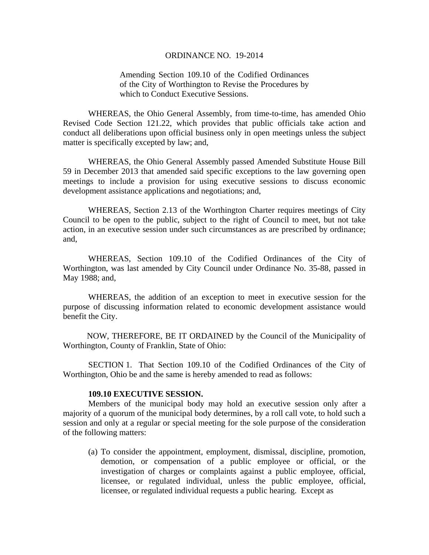#### ORDINANCE NO. 19-2014

# Amending Section 109.10 of the Codified Ordinances of the City of Worthington to Revise the Procedures by which to Conduct Executive Sessions.

WHEREAS, the Ohio General Assembly, from time-to-time, has amended Ohio Revised Code Section 121.22, which provides that public officials take action and conduct all deliberations upon official business only in open meetings unless the subject matter is specifically excepted by law; and,

WHEREAS, the Ohio General Assembly passed Amended Substitute House Bill 59 in December 2013 that amended said specific exceptions to the law governing open meetings to include a provision for using executive sessions to discuss economic development assistance applications and negotiations; and,

WHEREAS, Section 2.13 of the Worthington Charter requires meetings of City Council to be open to the public, subject to the right of Council to meet, but not take action, in an executive session under such circumstances as are prescribed by ordinance; and,

WHEREAS, Section 109.10 of the Codified Ordinances of the City of Worthington, was last amended by City Council under Ordinance No. 35-88, passed in May 1988; and,

WHEREAS, the addition of an exception to meet in executive session for the purpose of discussing information related to economic development assistance would benefit the City.

 NOW, THEREFORE, BE IT ORDAINED by the Council of the Municipality of Worthington, County of Franklin, State of Ohio:

SECTION 1. That Section 109.10 of the Codified Ordinances of the City of Worthington, Ohio be and the same is hereby amended to read as follows:

## **109.10 EXECUTIVE SESSION.**

 Members of the municipal body may hold an executive session only after a majority of a quorum of the municipal body determines, by a roll call vote, to hold such a session and only at a regular or special meeting for the sole purpose of the consideration of the following matters:

(a) To consider the appointment, employment, dismissal, discipline, promotion, demotion, or compensation of a public employee or official, or the investigation of charges or complaints against a public employee, official, licensee, or regulated individual, unless the public employee, official, licensee, or regulated individual requests a public hearing. Except as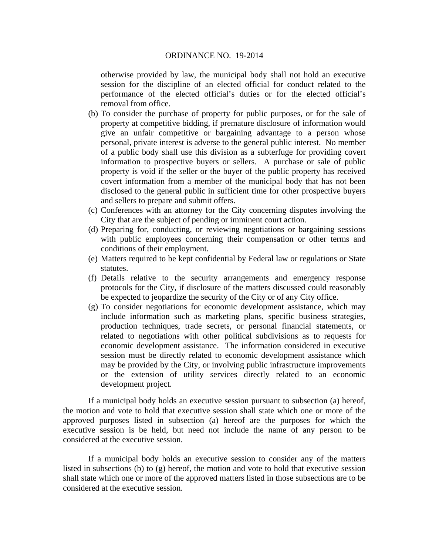### ORDINANCE NO. 19-2014

otherwise provided by law, the municipal body shall not hold an executive session for the discipline of an elected official for conduct related to the performance of the elected official's duties or for the elected official's removal from office.

- (b) To consider the purchase of property for public purposes, or for the sale of property at competitive bidding, if premature disclosure of information would give an unfair competitive or bargaining advantage to a person whose personal, private interest is adverse to the general public interest. No member of a public body shall use this division as a subterfuge for providing covert information to prospective buyers or sellers. A purchase or sale of public property is void if the seller or the buyer of the public property has received covert information from a member of the municipal body that has not been disclosed to the general public in sufficient time for other prospective buyers and sellers to prepare and submit offers.
- (c) Conferences with an attorney for the City concerning disputes involving the City that are the subject of pending or imminent court action.
- (d) Preparing for, conducting, or reviewing negotiations or bargaining sessions with public employees concerning their compensation or other terms and conditions of their employment.
- (e) Matters required to be kept confidential by Federal law or regulations or State statutes.
- (f) Details relative to the security arrangements and emergency response protocols for the City, if disclosure of the matters discussed could reasonably be expected to jeopardize the security of the City or of any City office.
- (g) To consider negotiations for economic development assistance, which may include information such as marketing plans, specific business strategies, production techniques, trade secrets, or personal financial statements, or related to negotiations with other political subdivisions as to requests for economic development assistance. The information considered in executive session must be directly related to economic development assistance which may be provided by the City, or involving public infrastructure improvements or the extension of utility services directly related to an economic development project.

If a municipal body holds an executive session pursuant to subsection (a) hereof, the motion and vote to hold that executive session shall state which one or more of the approved purposes listed in subsection (a) hereof are the purposes for which the executive session is be held, but need not include the name of any person to be considered at the executive session.

If a municipal body holds an executive session to consider any of the matters listed in subsections (b) to (g) hereof, the motion and vote to hold that executive session shall state which one or more of the approved matters listed in those subsections are to be considered at the executive session.